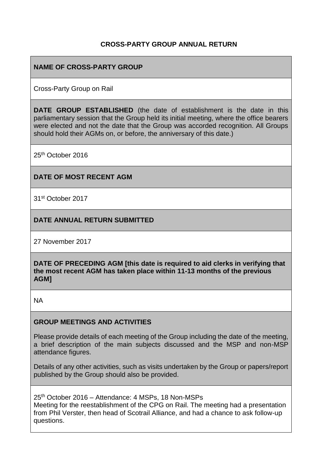### **CROSS-PARTY GROUP ANNUAL RETURN**

### **NAME OF CROSS-PARTY GROUP**

Cross-Party Group on Rail

**DATE GROUP ESTABLISHED** (the date of establishment is the date in this parliamentary session that the Group held its initial meeting, where the office bearers were elected and not the date that the Group was accorded recognition. All Groups should hold their AGMs on, or before, the anniversary of this date.)

25th October 2016

#### **DATE OF MOST RECENT AGM**

31st October 2017

### **DATE ANNUAL RETURN SUBMITTED**

27 November 2017

**DATE OF PRECEDING AGM [this date is required to aid clerks in verifying that the most recent AGM has taken place within 11-13 months of the previous AGM]**

NA

#### **GROUP MEETINGS AND ACTIVITIES**

Please provide details of each meeting of the Group including the date of the meeting, a brief description of the main subjects discussed and the MSP and non-MSP attendance figures.

Details of any other activities, such as visits undertaken by the Group or papers/report published by the Group should also be provided.

25th October 2016 – Attendance: 4 MSPs, 18 Non-MSPs Meeting for the reestablishment of the CPG on Rail. The meeting had a presentation from Phil Verster, then head of Scotrail Alliance, and had a chance to ask follow-up questions.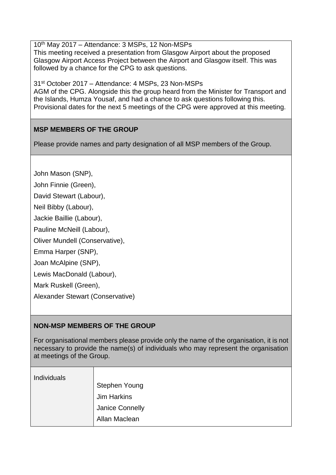10th May 2017 – Attendance: 3 MSPs, 12 Non-MSPs This meeting received a presentation from Glasgow Airport about the proposed Glasgow Airport Access Project between the Airport and Glasgow itself. This was followed by a chance for the CPG to ask questions.

31st October 2017 – Attendance: 4 MSPs, 23 Non-MSPs AGM of the CPG. Alongside this the group heard from the Minister for Transport and the Islands, Humza Yousaf, and had a chance to ask questions following this. Provisional dates for the next 5 meetings of the CPG were approved at this meeting.

## **MSP MEMBERS OF THE GROUP**

Please provide names and party designation of all MSP members of the Group.

John Mason (SNP),

John Finnie (Green),

David Stewart (Labour),

Neil Bibby (Labour),

Jackie Baillie (Labour),

Pauline McNeill (Labour),

Oliver Mundell (Conservative),

Emma Harper (SNP),

Joan McAlpine (SNP),

Lewis MacDonald (Labour),

Mark Ruskell (Green),

Alexander Stewart (Conservative)

# **NON-MSP MEMBERS OF THE GROUP**

For organisational members please provide only the name of the organisation, it is not necessary to provide the name(s) of individuals who may represent the organisation at meetings of the Group.

| <b>Individuals</b> |                      |
|--------------------|----------------------|
|                    | <b>Stephen Young</b> |
|                    | <b>Jim Harkins</b>   |
|                    | Janice Connelly      |
|                    | Allan Maclean        |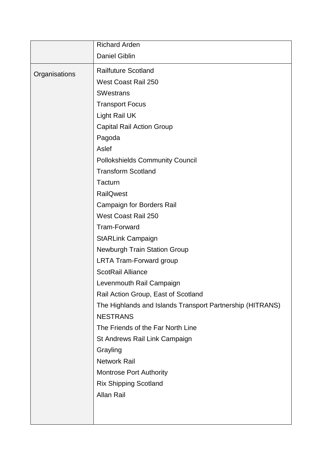|               | <b>Richard Arden</b>                                      |
|---------------|-----------------------------------------------------------|
|               | <b>Daniel Giblin</b>                                      |
| Organisations | <b>Railfuture Scotland</b>                                |
|               | West Coast Rail 250                                       |
|               | <b>SWestrans</b>                                          |
|               | <b>Transport Focus</b>                                    |
|               | Light Rail UK                                             |
|               | <b>Capital Rail Action Group</b>                          |
|               | Pagoda                                                    |
|               | Aslef                                                     |
|               | <b>Pollokshields Community Council</b>                    |
|               | <b>Transform Scotland</b>                                 |
|               | Tacturn                                                   |
|               | <b>RailQwest</b>                                          |
|               | <b>Campaign for Borders Rail</b>                          |
|               | West Coast Rail 250                                       |
|               | <b>Tram-Forward</b>                                       |
|               | <b>StARLink Campaign</b>                                  |
|               | <b>Newburgh Train Station Group</b>                       |
|               | <b>LRTA Tram-Forward group</b>                            |
|               | <b>ScotRail Alliance</b>                                  |
|               | Levenmouth Rail Campaign                                  |
|               | Rail Action Group, East of Scotland                       |
|               | The Highlands and Islands Transport Partnership (HITRANS) |
|               | <b>NESTRANS</b>                                           |
|               | The Friends of the Far North Line                         |
|               | St Andrews Rail Link Campaign                             |
|               | Grayling                                                  |
|               | <b>Network Rail</b>                                       |
|               | <b>Montrose Port Authority</b>                            |
|               | <b>Rix Shipping Scotland</b>                              |
|               | <b>Allan Rail</b>                                         |
|               |                                                           |
|               |                                                           |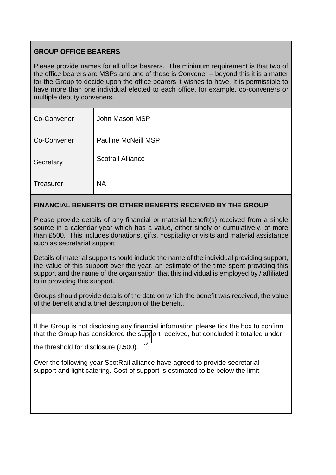## **GROUP OFFICE BEARERS**

Please provide names for all office bearers. The minimum requirement is that two of the office bearers are MSPs and one of these is Convener – beyond this it is a matter for the Group to decide upon the office bearers it wishes to have. It is permissible to have more than one individual elected to each office, for example, co-conveners or multiple deputy conveners.

| Co-Convener      | John Mason MSP             |
|------------------|----------------------------|
| Co-Convener      | <b>Pauline McNeill MSP</b> |
| Secretary        | <b>Scotrail Alliance</b>   |
| <b>Treasurer</b> | <b>NA</b>                  |

## **FINANCIAL BENEFITS OR OTHER BENEFITS RECEIVED BY THE GROUP**

Please provide details of any financial or material benefit(s) received from a single source in a calendar year which has a value, either singly or cumulatively, of more than £500. This includes donations, gifts, hospitality or visits and material assistance such as secretariat support.

Details of material support should include the name of the individual providing support, the value of this support over the year, an estimate of the time spent providing this support and the name of the organisation that this individual is employed by / affiliated to in providing this support.

Groups should provide details of the date on which the benefit was received, the value of the benefit and a brief description of the benefit.

If the Group is not disclosing any financial information please tick the box to confirm that the Group has considered the support received, but concluded it totalled under

the threshold for disclosure (£500).

Over the following year ScotRail alliance have agreed to provide secretarial support and light catering. Cost of support is estimated to be below the limit.